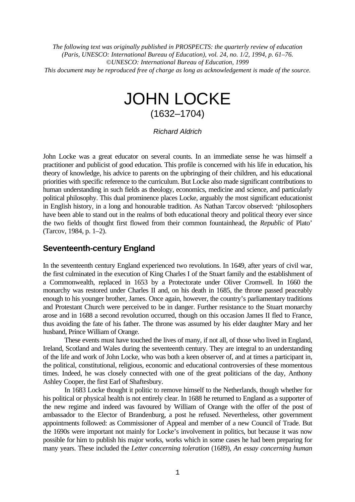*The following text was originally published in PROSPECTS: the quarterly review of education (Paris, UNESCO: International Bureau of Education), vol. 24, no. 1/2, 1994, p. 61–76. ©UNESCO: International Bureau of Education, 1999 This document may be reproduced free of charge as long as acknowledgement is made of the source.*



*Richard Aldrich*

John Locke was a great educator on several counts. In an immediate sense he was himself a practitioner and publicist of good education. This profile is concerned with his life in education, his theory of knowledge, his advice to parents on the upbringing of their children, and his educational priorities with specific reference to the curriculum. But Locke also made significant contributions to human understanding in such fields as theology, economics, medicine and science, and particularly political philosophy. This dual prominence places Locke, arguably the most significant educationist in English history, in a long and honourable tradition. As Nathan Tarcov observed: 'philosophers have been able to stand out in the realms of both educational theory and political theory ever since the two fields of thought first flowed from their common fountainhead, the *Republic* of Plato' (Tarcov, 1984, p. 1–2).

## **Seventeenth-century England**

In the seventeenth century England experienced two revolutions. In 1649, after years of civil war, the first culminated in the execution of King Charles I of the Stuart family and the establishment of a Commonwealth, replaced in 1653 by a Protectorate under Oliver Cromwell. In 1660 the monarchy was restored under Charles II and, on his death in 1685, the throne passed peaceably enough to his younger brother, James. Once again, however, the country's parliamentary traditions and Protestant Church were perceived to be in danger. Further resistance to the Stuart monarchy arose and in 1688 a second revolution occurred, though on this occasion James II fled to France, thus avoiding the fate of his father. The throne was assumed by his elder daughter Mary and her husband, Prince William of Orange.

These events must have touched the lives of many, if not all, of those who lived in England, Ireland, Scotland and Wales during the seventeenth century. They are integral to an understanding of the life and work of John Locke, who was both a keen observer of, and at times a participant in, the political, constitutional, religious, economic and educational controversies of these momentous times. Indeed, he was closely connected with one of the great politicians of the day, Anthony Ashley Cooper, the first Earl of Shaftesbury.

In 1683 Locke thought it politic to remove himself to the Netherlands, though whether for his political or physical health is not entirely clear. In 1688 he returned to England as a supporter of the new regime and indeed was favoured by William of Orange with the offer of the post of ambassador to the Elector of Brandenburg, a post he refused. Nevertheless, other government appointments followed: as Commissioner of Appeal and member of a new Council of Trade. But the 1690s were important not mainly for Locke's involvement in politics, but because it was now possible for him to publish his major works, works which in some cases he had been preparing for many years. These included the *Letter concerning toleration* (1689), *An essay concerning human*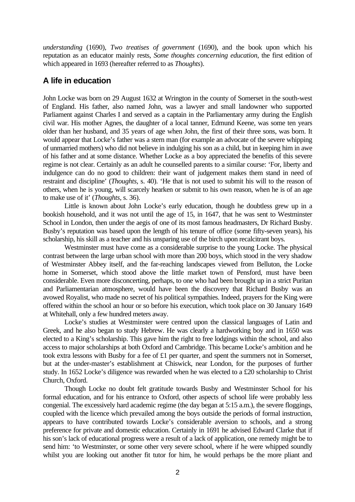*understanding* (1690), *Two treatises of government* (1690), and the book upon which his reputation as an educator mainly rests, *Some thoughts concerning education*, the first edition of which appeared in 1693 (hereafter referred to as *Thoughts*).

# **A life in education**

John Locke was born on 29 August 1632 at Wrington in the county of Somerset in the south-west of England. His father, also named John, was a lawyer and small landowner who supported Parliament against Charles I and served as a captain in the Parliamentary army during the English civil war. His mother Agnes, the daughter of a local tanner, Edmund Keene, was some ten years older than her husband, and 35 years of age when John, the first of their three sons, was born. It would appear that Locke's father was a stern man (for example an advocate of the severe whipping of unmarried mothers) who did not believe in indulging his son as a child, but in keeping him in awe of his father and at some distance. Whether Locke as a boy appreciated the benefits of this severe regime is not clear. Certainly as an adult he counselled parents to a similar course: 'For, liberty and indulgence can do no good to children: their want of judgement makes them stand in need of restraint and discipline' (*Thoughts*, s. 40). 'He that is not used to submit his will to the reason of others, when he is young, will scarcely hearken or submit to his own reason, when he is of an age to make use of it' (*Thoughts*, s. 36).

Little is known about John Locke's early education, though he doubtless grew up in a bookish household, and it was not until the age of 15, in 1647, that he was sent to Westminster School in London, then under the aegis of one of its most famous headmasters, Dr Richard Busby. Busby's reputation was based upon the length of his tenure of office (some fifty-seven years), his scholarship, his skill as a teacher and his unsparing use of the birch upon recalcitrant boys.

Westminster must have come as a considerable surprise to the young Locke. The physical contrast between the large urban school with more than 200 boys, which stood in the very shadow of Westminster Abbey itself, and the far-reaching landscapes viewed from Belluton, the Locke home in Somerset, which stood above the little market town of Pensford, must have been considerable. Even more disconcerting, perhaps, to one who had been brought up in a strict Puritan and Parliamentarian atmosphere, would have been the discovery that Richard Busby was an avowed Royalist, who made no secret of his political sympathies. Indeed, prayers for the King were offered within the school an hour or so before his execution, which took place on 30 January 1649 at Whitehall, only a few hundred meters away.

Locke's studies at Westminster were centred upon the classical languages of Latin and Greek, and he also began to study Hebrew. He was clearly a hardworking boy and in 1650 was elected to a King's scholarship. This gave him the right to free lodgings within the school, and also access to major scholarships at both Oxford and Cambridge. This became Locke's ambition and he took extra lessons with Busby for a fee of £1 per quarter, and spent the summers not in Somerset, but at the under-master's establishment at Chiswick, near London, for the purposes of further study. In 1652 Locke's diligence was rewarded when he was elected to a £20 scholarship to Christ Church, Oxford.

Though Locke no doubt felt gratitude towards Busby and Westminster School for his formal education, and for his entrance to Oxford, other aspects of school life were probably less congenial. The excessively hard academic regime (the day began at 5:15 a.m.), the severe floggings, coupled with the licence which prevailed among the boys outside the periods of formal instruction, appears to have contributed towards Locke's considerable aversion to schools, and a strong preference for private and domestic education. Certainly in 1691 he advised Edward Clarke that if his son's lack of educational progress were a result of a lack of application, one remedy might be to send him: 'to Westminster, or some other very severe school, where if he were whipped soundly whilst you are looking out another fit tutor for him, he would perhaps be the more pliant and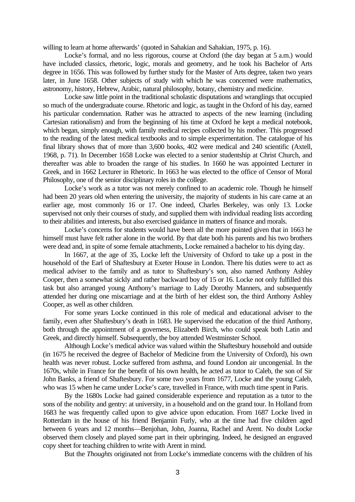willing to learn at home afterwards' (quoted in Sahakian and Sahakian, 1975, p. 16).

Locke's formal, and no less rigorous, course at Oxford (the day began at 5 a.m.) would have included classics, rhetoric, logic, morals and geometry, and he took his Bachelor of Arts degree in 1656. This was followed by further study for the Master of Arts degree, taken two years later, in June 1658. Other subjects of study with which he was concerned were mathematics, astronomy, history, Hebrew, Arabic, natural philosophy, botany, chemistry and medicine.

Locke saw little point in the traditional scholastic disputations and wranglings that occupied so much of the undergraduate course. Rhetoric and logic, as taught in the Oxford of his day, earned his particular condemnation. Rather was he attracted to aspects of the new learning (including Cartesian rationalism) and from the beginning of his time at Oxford he kept a medical notebook, which began, simply enough, with family medical recipes collected by his mother. This progressed to the reading of the latest medical textbooks and to simple experimentation. The catalogue of his final library shows that of more than 3,600 books, 402 were medical and 240 scientific (Axtell, 1968, p. 71). In December 1658 Locke was elected to a senior studentship at Christ Church, and thereafter was able to broaden the range of his studies. In 1660 he was appointed Lecturer in Greek, and in 1662 Lecturer in Rhetoric. In 1663 he was elected to the office of Censor of Moral Philosophy, one of the senior disciplinary roles in the college.

Locke's work as a tutor was not merely confined to an academic role. Though he himself had been 20 years old when entering the university, the majority of students in his care came at an earlier age, most commonly 16 or 17. One indeed, Charles Berkeley, was only 13. Locke supervised not only their courses of study, and supplied them with individual reading lists according to their abilities and interests, but also exercised guidance in matters of finance and morals.

Locke's concerns for students would have been all the more pointed given that in 1663 he himself must have felt rather alone in the world. By that date both his parents and his two brothers were dead and, in spite of some female attachments, Locke remained a bachelor to his dying day.

In 1667, at the age of 35, Locke left the University of Oxford to take up a post in the household of the Earl of Shaftesbury at Exeter House in London. There his duties were to act as medical adviser to the family and as tutor to Shaftesbury's son, also named Anthony Ashley Cooper, then a somewhat sickly and rather backward boy of 15 or 16. Locke not only fulfilled this task but also arranged young Anthony's marriage to Lady Dorothy Manners, and subsequently attended her during one miscarriage and at the birth of her eldest son, the third Anthony Ashley Cooper, as well as other children.

For some years Locke continued in this role of medical and educational adviser to the family, even after Shaftesbury's death in 1683. He supervised the education of the third Anthony, both through the appointment of a governess, Elizabeth Birch, who could speak both Latin and Greek, and directly himself. Subsequently, the boy attended Westminster School.

Although Locke's medical advice was valued within the Shaftesbury household and outside (in 1675 he received the degree of Bachelor of Medicine from the University of Oxford), his own health was never robust. Locke suffered from asthma, and found London air uncongenial. In the 1670s, while in France for the benefit of his own health, he acted as tutor to Caleb, the son of Sir John Banks, a friend of Shaftesbury. For some two years from 1677, Locke and the young Caleb, who was 15 when he came under Locke's care, travelled in France, with much time spent in Paris.

By the 1680s Locke had gained considerable experience and reputation as a tutor to the sons of the nobility and gentry: at university, in a household and on the grand tour. In Holland from 1683 he was frequently called upon to give advice upon education. From 1687 Locke lived in Rotterdam in the house of his friend Benjamin Furly, who at the time had five children aged between 6 years and 12 months—Benjohan, John, Joanna, Rachel and Arent. No doubt Locke observed them closely and played some part in their upbringing. Indeed, he designed an engraved copy sheet for teaching children to write with Arent in mind.

But the *Thoughts* originated not from Locke's immediate concerns with the children of his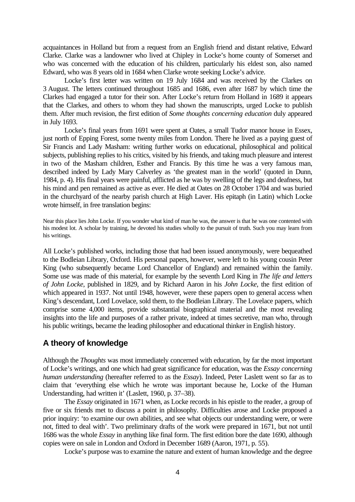acquaintances in Holland but from a request from an English friend and distant relative, Edward Clarke. Clarke was a landowner who lived at Chipley in Locke's home county of Somerset and who was concerned with the education of his children, particularly his eldest son, also named Edward, who was 8 years old in 1684 when Clarke wrote seeking Locke's advice.

Locke's first letter was written on 19 July 1684 and was received by the Clarkes on 3 August. The letters continued throughout 1685 and 1686, even after 1687 by which time the Clarkes had engaged a tutor for their son. After Locke's return from Holland in 1689 it appears that the Clarkes, and others to whom they had shown the manuscripts, urged Locke to publish them. After much revision, the first edition of *Some thoughts concerning education* duly appeared in July 1693.

Locke's final years from 1691 were spent at Oates, a small Tudor manor house in Essex, just north of Epping Forest, some twenty miles from London. There he lived as a paying guest of Sir Francis and Lady Masham: writing further works on educational, philosophical and political subjects, publishing replies to his critics, visited by his friends, and taking much pleasure and interest in two of the Masham children, Esther and Francis. By this time he was a very famous man, described indeed by Lady Mary Calverley as 'the greatest man in the world' (quoted in Dunn, 1984, p. 4). His final years were painful, afflicted as he was by swelling of the legs and deafness, but his mind and pen remained as active as ever. He died at Oates on 28 October 1704 and was buried in the churchyard of the nearby parish church at High Laver. His epitaph (in Latin) which Locke wrote himself, in free translation begins:

Near this place lies John Locke. If you wonder what kind of man he was, the answer is that he was one contented with his modest lot. A scholar by training, he devoted his studies wholly to the pursuit of truth. Such you may learn from his writings.

All Locke's published works, including those that had been issued anonymously, were bequeathed to the Bodleian Library, Oxford. His personal papers, however, were left to his young cousin Peter King (who subsequently became Lord Chancellor of England) and remained within the family. Some use was made of this material, for example by the seventh Lord King in *The life and letters of John Locke*, published in 1829, and by Richard Aaron in his *John Locke*, the first edition of which appeared in 1937. Not until 1948, however, were these papers open to general access when King's descendant, Lord Lovelace, sold them, to the Bodleian Library. The Lovelace papers, which comprise some 4,000 items, provide substantial biographical material and the most revealing insights into the life and purposes of a rather private, indeed at times secretive, man who, through his public writings, became the leading philosopher and educational thinker in English history.

## **A theory of knowledge**

Although the *Thoughts* was most immediately concerned with education, by far the most important of Locke's writings, and one which had great significance for education, was the *Essay concerning human understanding* (hereafter referred to as the *Essay*). Indeed, Peter Laslett went so far as to claim that 'everything else which he wrote was important because he, Locke of the Human Understanding, had written it' (Laslett, 1960, p. 37–38).

The *Essay* originated in 1671 when, as Locke records in his epistle to the reader, a group of five or six friends met to discuss a point in philosophy. Difficulties arose and Locke proposed a prior inquiry: 'to examine our own abilities, and see what objects our understanding were, or were not, fitted to deal with'. Two preliminary drafts of the work were prepared in 1671, but not until 1686 was the whole *Essay* in anything like final form. The first edition bore the date 1690, although copies were on sale in London and Oxford in December 1689 (Aaron, 1971, p. 55).

Locke's purpose was to examine the nature and extent of human knowledge and the degree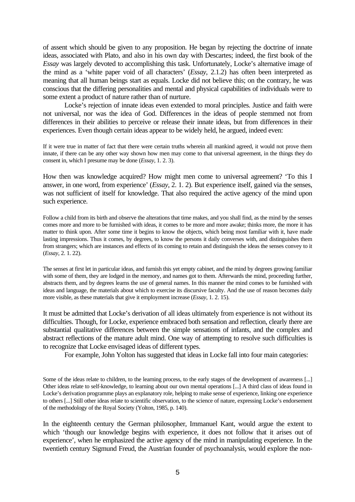of assent which should be given to any proposition. He began by rejecting the doctrine of innate ideas, associated with Plato, and also in his own day with Descartes; indeed, the first book of the *Essay* was largely devoted to accomplishing this task. Unfortunately, Locke's alternative image of the mind as a 'white paper void of all characters' (*Essay*, 2.1.2) has often been interpreted as meaning that all human beings start as equals. Locke did not believe this; on the contrary, he was conscious that the differing personalities and mental and physical capabilities of individuals were to some extent a product of nature rather than of nurture.

Locke's rejection of innate ideas even extended to moral principles. Justice and faith were not universal, nor was the idea of God. Differences in the ideas of people stemmed not from differences in their abilities to perceive or release their innate ideas, but from differences in their experiences. Even though certain ideas appear to be widely held, he argued, indeed even:

If it were true in matter of fact that there were certain truths wherein all mankind agreed, it would not prove them innate, if there can be any other way shown how men may come to that universal agreement, in the things they do consent in, which I presume may be done (*Essay*, 1. 2. 3).

How then was knowledge acquired? How might men come to universal agreement? 'To this I answer, in one word, from experience' (*Essay*, 2. 1. 2). But experience itself, gained via the senses, was not sufficient of itself for knowledge. That also required the active agency of the mind upon such experience.

Follow a child from its birth and observe the alterations that time makes, and you shall find, as the mind by the senses comes more and more to be furnished with ideas, it comes to be more and more awake; thinks more, the more it has matter to think upon. After some time it begins to know the objects, which being most familiar with it, have made lasting impressions. Thus it comes, by degrees, to know the persons it daily converses with, and distinguishes them from strangers; which are instances and effects of its coming to retain and distinguish the ideas the senses convey to it (*Essay*, 2. 1. 22).

The senses at first let in particular ideas, and furnish this yet empty cabinet, and the mind by degrees growing familiar with some of them, they are lodged in the memory, and names got to them. Afterwards the mind, proceeding further, abstracts them, and by degrees learns the use of general names. In this manner the mind comes to be furnished with ideas and language, the materials about which to exercise its discursive faculty. And the use of reason becomes daily more visible, as these materials that give it employment increase (*Essay*, 1. 2. 15).

It must be admitted that Locke's derivation of all ideas ultimately from experience is not without its difficulties. Though, for Locke, experience embraced both sensation and reflection, clearly there are substantial qualitative differences between the simple sensations of infants, and the complex and abstract reflections of the mature adult mind. One way of attempting to resolve such difficulties is to recognize that Locke envisaged ideas of different types.

For example, John Yolton has suggested that ideas in Locke fall into four main categories:

Some of the ideas relate to children, to the learning process, to the early stages of the development of awareness [...] Other ideas relate to self-knowledge, to learning about our own mental operations [...] A third class of ideas found in Locke's derivation programme plays an explanatory role, helping to make sense of experience, linking one experience to others [...] Still other ideas relate to scientific observation, to the science of nature, expressing Locke's endorsement of the methodology of the Royal Society (Yolton, 1985, p. 140).

In the eighteenth century the German philosopher, Immanuel Kant, would argue the extent to which 'though our knowledge begins with experience, it does not follow that it arises out of experience', when he emphasized the active agency of the mind in manipulating experience. In the twentieth century Sigmund Freud, the Austrian founder of psychoanalysis, would explore the non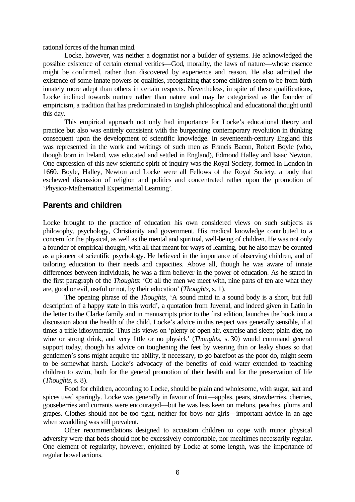rational forces of the human mind.

Locke, however, was neither a dogmatist nor a builder of systems. He acknowledged the possible existence of certain eternal verities—God, morality, the laws of nature—whose essence might be confirmed, rather than discovered by experience and reason. He also admitted the existence of some innate powers or qualities, recognizing that some children seem to be from birth innately more adept than others in certain respects. Nevertheless, in spite of these qualifications, Locke inclined towards nurture rather than nature and may be categorized as the founder of empiricism, a tradition that has predominated in English philosophical and educational thought until this day.

This empirical approach not only had importance for Locke's educational theory and practice but also was entirely consistent with the burgeoning contemporary revolution in thinking consequent upon the development of scientific knowledge. In seventeenth-century England this was represented in the work and writings of such men as Francis Bacon, Robert Boyle (who, though born in Ireland, was educated and settled in England), Edmond Halley and Isaac Newton. One expression of this new scientific spirit of inquiry was the Royal Society, formed in London in 1660. Boyle, Halley, Newton and Locke were all Fellows of the Royal Society, a body that eschewed discussion of religion and politics and concentrated rather upon the promotion of 'Physico-Mathematical Experimental Learning'.

#### **Parents and children**

Locke brought to the practice of education his own considered views on such subjects as philosophy, psychology, Christianity and government. His medical knowledge contributed to a concern for the physical, as well as the mental and spiritual, well-being of children. He was not only a founder of empirical thought, with all that meant for ways of learning, but he also may be counted as a pioneer of scientific psychology. He believed in the importance of observing children, and of tailoring education to their needs and capacities. Above all, though he was aware of innate differences between individuals, he was a firm believer in the power of education. As he stated in the first paragraph of the *Thoughts*: 'Of all the men we meet with, nine parts of ten are what they are, good or evil, useful or not, by their education' (*Thoughts*, s. 1).

The opening phrase of the *Thoughts*, 'A sound mind in a sound body is a short, but full description of a happy state in this world', a quotation from Juvenal, and indeed given in Latin in the letter to the Clarke family and in manuscripts prior to the first edition, launches the book into a discussion about the health of the child. Locke's advice in this respect was generally sensible, if at times a trifle idiosyncratic. Thus his views on 'plenty of open air, exercise and sleep; plain diet, no wine or strong drink, and very little or no physick' (*Thoughts*, s. 30) would command general support today, though his advice on toughening the feet by wearing thin or leaky shoes so that gentlemen's sons might acquire the ability, if necessary, to go barefoot as the poor do, might seem to be somewhat harsh. Locke's advocacy of the benefits of cold water extended to teaching children to swim, both for the general promotion of their health and for the preservation of life (*Thoughts*, s. 8).

Food for children, according to Locke, should be plain and wholesome, with sugar, salt and spices used sparingly. Locke was generally in favour of fruit—apples, pears, strawberries, cherries, gooseberries and currants were encouraged—but he was less keen on melons, peaches, plums and grapes. Clothes should not be too tight, neither for boys nor girls—important advice in an age when swaddling was still prevalent.

Other recommendations designed to accustom children to cope with minor physical adversity were that beds should not be excessively comfortable, nor mealtimes necessarily regular. One element of regularity, however, enjoined by Locke at some length, was the importance of regular bowel actions.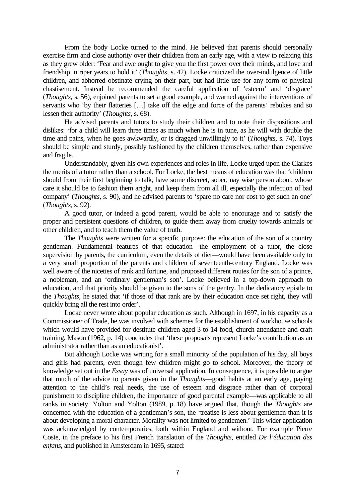From the body Locke turned to the mind. He believed that parents should personally exercise firm and close authority over their children from an early age, with a view to relaxing this as they grew older: 'Fear and awe ought to give you the first power over their minds, and love and friendship in riper years to hold it' (*Thoughts*, s. 42). Locke criticized the over-indulgence of little children, and abhorred obstinate crying on their part, but had little use for any form of physical chastisement. Instead he recommended the careful application of 'esteem' and 'disgrace' (*Thoughts*, s. 56), enjoined parents to set a good example, and warned against the interventions of servants who 'by their flatteries [...] take off the edge and force of the parents' rebukes and so lessen their authority' (*Thoughts*, s. 68).

He advised parents and tutors to study their children and to note their dispositions and dislikes: 'for a child will learn three times as much when he is in tune, as he will with double the time and pains, when he goes awkwardly, or is dragged unwillingly to it' (*Thoughts*, s. 74). Toys should be simple and sturdy, possibly fashioned by the children themselves, rather than expensive and fragile.

Understandably, given his own experiences and roles in life, Locke urged upon the Clarkes the merits of a tutor rather than a school. For Locke, the best means of education was that 'children should from their first beginning to talk, have some discreet, sober, nay wise person about, whose care it should be to fashion them aright, and keep them from all ill, especially the infection of bad company' (*Thoughts*, s. 90), and he advised parents to 'spare no care nor cost to get such an one' (*Thoughts*, s. 92).

A good tutor, or indeed a good parent, would be able to encourage and to satisfy the proper and persistent questions of children, to guide them away from cruelty towards animals or other children, and to teach them the value of truth.

The *Thoughts* were written for a specific purpose: the education of the son of a country gentleman. Fundamental features of that education—the employment of a tutor, the close supervision by parents, the curriculum, even the details of diet—would have been available only to a very small proportion of the parents and children of seventeenth-century England. Locke was well aware of the niceties of rank and fortune, and proposed different routes for the son of a prince, a nobleman, and an 'ordinary gentleman's son'. Locke believed in a top-down approach to education, and that priority should be given to the sons of the gentry. In the dedicatory epistle to the *Thoughts*, he stated that 'if those of that rank are by their education once set right, they will quickly bring all the rest into order'.

Locke never wrote about popular education as such. Although in 1697, in his capacity as a Commissioner of Trade, he was involved with schemes for the establishment of workhouse schools which would have provided for destitute children aged 3 to 14 food, church attendance and craft training, Mason (1962, p. 14) concludes that 'these proposals represent Locke's contribution as an administrator rather than as an educationist'.

But although Locke was writing for a small minority of the population of his day, all boys and girls had parents, even though few children might go to school. Moreover, the theory of knowledge set out in the *Essay* was of universal application. In consequence, it is possible to argue that much of the advice to parents given in the *Thoughts*—good habits at an early age, paying attention to the child's real needs, the use of esteem and disgrace rather than of corporal punishment to discipline children, the importance of good parental example—was applicable to all ranks in society. Yolton and Yolton (1989, p. 18) have argued that, though the *Thoughts* are concerned with the education of a gentleman's son, the 'treatise is less about gentlemen than it is about developing a moral character. Morality was not limited to gentlemen.' This wider application was acknowledged by contemporaries, both within England and without. For example Pierre Coste, in the preface to his first French translation of the *Thoughts*, entitled *De l'éducation des enfans*, and published in Amsterdam in 1695, stated: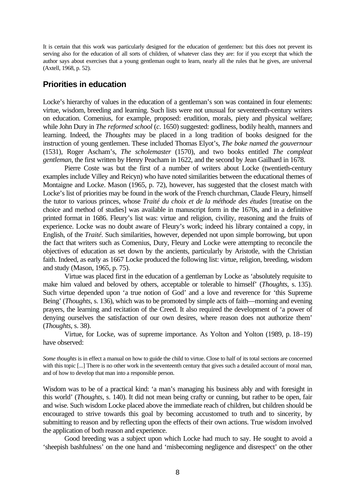It is certain that this work was particularly designed for the education of gentlemen: but this does not prevent its serving also for the education of all sorts of children, of whatever class they are: for if you except that which the author says about exercises that a young gentleman ought to learn, nearly all the rules that he gives, are universal (Axtell, 1968, p. 52).

### **Priorities in education**

Locke's hierarchy of values in the education of a gentleman's son was contained in four elements: virtue, wisdom, breeding and learning. Such lists were not unusual for seventeenth-century writers on education. Comenius, for example, proposed: erudition, morals, piety and physical welfare; while John Dury in *The reformed school* (*c*. 1650) suggested: godliness, bodily health, manners and learning. Indeed, the *Thoughts* may be placed in a long tradition of books designed for the instruction of young gentlemen. These included Thomas Elyot's, *The boke named the gouvernour* (1531), Roger Ascham's, *The scholemaster* (1570), and two books entitled *The compleat gentleman*, the first written by Henry Peacham in 1622, and the second by Jean Gailhard in 1678.

Pierre Coste was but the first of a number of writers about Locke (twentieth-century examples include Villey and Reicyn) who have noted similarities between the educational themes of Montaigne and Locke. Mason (1965, p. 72), however, has suggested that the closest match with Locke's list of priorities may be found in the work of the French churchman, Claude Fleury, himself the tutor to various princes, whose *Traité du choix et de la méthode des études* [treatise on the choice and method of studies] was available in manuscript form in the 1670s, and in a definitive printed format in 1686. Fleury's list was: virtue and religion, civility, reasoning and the fruits of experience. Locke was no doubt aware of Fleury's work; indeed his library contained a copy, in English, of the *Traité*. Such similarities, however, depended not upon simple borrowing, but upon the fact that writers such as Comenius, Dury, Fleury and Locke were attempting to reconcile the objectives of education as set down by the ancients, particularly by Aristotle, with the Christian faith. Indeed, as early as 1667 Locke produced the following list: virtue, religion, breeding, wisdom and study (Mason, 1965, p. 75).

Virtue was placed first in the education of a gentleman by Locke as 'absolutely requisite to make him valued and beloved by others, acceptable or tolerable to himself' (*Thoughts*, s. 135). Such virtue depended upon 'a true notion of God' and a love and reverence for 'this Supreme Being' (*Thoughts*, s. 136), which was to be promoted by simple acts of faith—morning and evening prayers, the learning and recitation of the Creed. It also required the development of 'a power of denying ourselves the satisfaction of our own desires, where reason does not authorize them' (*Thoughts*, s. 38).

Virtue, for Locke, was of supreme importance. As Yolton and Yolton (1989, p. 18–19) have observed:

*Some thoughts* is in effect a manual on how to guide the child to virtue. Close to half of its total sections are concerned with this topic [...] There is no other work in the seventeenth century that gives such a detailed account of moral man, and of how to develop that man into a responsible person.

Wisdom was to be of a practical kind: 'a man's managing his business ably and with foresight in this world' (*Thoughts*, s. 140). It did not mean being crafty or cunning, but rather to be open, fair and wise. Such wisdom Locke placed above the immediate reach of children, but children should be encouraged to strive towards this goal by becoming accustomed to truth and to sincerity, by submitting to reason and by reflecting upon the effects of their own actions. True wisdom involved the application of both reason and experience.

Good breeding was a subject upon which Locke had much to say. He sought to avoid a 'sheepish bashfulness' on the one hand and 'misbecoming negligence and disrespect' on the other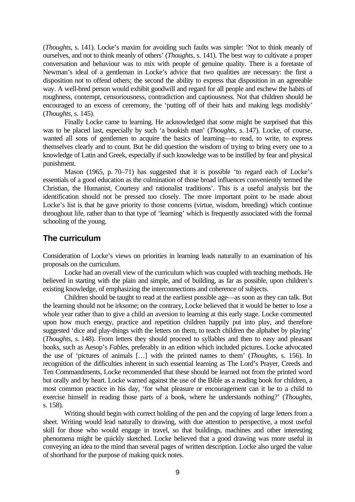(*Thoughts*, s. 141). Locke's maxim for avoiding such faults was simple: 'Not to think meanly of ourselves, and not to think meanly of others' (*Thoughts*, s. 141). The best way to cultivate a proper conversation and behaviour was to mix with people of genuine quality. There is a foretaste of Newman's ideal of a gentleman in Locke's advice that two qualities are necessary: the first a disposition not to offend others; the second the ability to express that disposition in an agreeable way. A well-bred person would exhibit goodwill and regard for all people and eschew the habits of roughness, contempt, censoriousness, contradiction and captiousness. Not that children should be encouraged to an excess of ceremony, the 'putting off of their hats and making legs modishly' (*Thoughts*, s. 145).

Finally Locke came to learning. He acknowledged that some might be surprised that this was to be placed last, especially by such 'a bookish man' (*Thoughts*, s. 147). Locke, of course, wanted all sons of gentlemen to acquire the basics of learning—to read, to write, to express themselves clearly and to count. But he did question the wisdom of trying to bring every one to a knowledge of Latin and Greek, especially if such knowledge was to be instilled by fear and physical punishment.

Mason (1965, p. 70–71) has suggested that it is possible 'to regard each of Locke's essentials of a good education as the culmination of those broad influences conveniently termed the Christian, the Humanist, Courtesy and rationalist traditions'. This is a useful analysis but the identification should not be pressed too closely. The more important point to be made about Locke's list is that he gave priority to those concerns (virtue, wisdom, breeding) which continue throughout life, rather than to that type of 'learning' which is frequently associated with the formal schooling of the young.

# **The curriculum**

Consideration of Locke's views on priorities in learning leads naturally to an examination of his proposals on the curriculum.

Locke had an overall view of the curriculum which was coupled with teaching methods. He believed in starting with the plain and simple, and of building, as far as possible, upon children's existing knowledge, of emphasizing the interconnections and coherence of subjects.

Children should be taught to read at the earliest possible age—as soon as they can talk. But the learning should not be irksome; on the contrary, Locke believed that it would be better to lose a whole year rather than to give a child an aversion to learning at this early stage. Locke commented upon how much energy, practice and repetition children happily put into play, and therefore suggested 'dice and play-things with the letters on them, to teach children the alphabet by playing' (*Thoughts*, s. 148). From letters they should proceed to syllables and then to easy and pleasant books, such as Aesop's *Fables*, preferably in an edition which included pictures. Locke advocated the use of 'pictures of animals […] with the printed names to them' (*Thoughts*, s. 156). In recognition of the difficulties inherent in such essential learning as The Lord's Prayer, Creeds and Ten Commandments, Locke recommended that these should be learned not from the printed word but orally and by heart. Locke warned against the use of the Bible as a reading book for children, a most common practice in his day, 'for what pleasure or encouragement can it be to a child to exercise himself in reading those parts of a book, where he understands nothing?' (*Thoughts*, s. 158).

Writing should begin with correct holding of the pen and the copying of large letters from a sheet. Writing would lead naturally to drawing, with due attention to perspective, a most useful skill for those who would engage in travel, so that buildings, machines and other interesting phenomena might be quickly sketched. Locke believed that a good drawing was more useful in conveying an idea to the mind than several pages of written description. Locke also urged the value of shorthand for the purpose of making quick notes.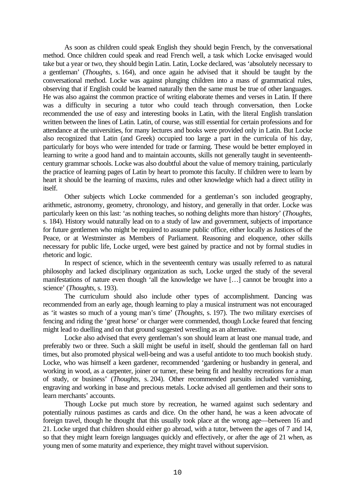As soon as children could speak English they should begin French, by the conversational method. Once children could speak and read French well, a task which Locke envisaged would take but a year or two, they should begin Latin. Latin, Locke declared, was 'absolutely necessary to a gentleman' (*Thoughts*, s. 164), and once again he advised that it should be taught by the conversational method. Locke was against plunging children into a mass of grammatical rules, observing that if English could be learned naturally then the same must be true of other languages. He was also against the common practice of writing elaborate themes and verses in Latin. If there was a difficulty in securing a tutor who could teach through conversation, then Locke recommended the use of easy and interesting books in Latin, with the literal English translation written between the lines of Latin. Latin, of course, was still essential for certain professions and for attendance at the universities, for many lectures and books were provided only in Latin. But Locke also recognized that Latin (and Greek) occupied too large a part in the curricula of his day, particularly for boys who were intended for trade or farming. These would be better employed in learning to write a good hand and to maintain accounts, skills not generally taught in seventeenthcentury grammar schools. Locke was also doubtful about the value of memory training, particularly the practice of learning pages of Latin by heart to promote this faculty. If children were to learn by heart it should be the learning of maxims, rules and other knowledge which had a direct utility in itself.

Other subjects which Locke commended for a gentleman's son included geography, arithmetic, astronomy, geometry, chronology, and history, and generally in that order. Locke was particularly keen on this last: 'as nothing teaches, so nothing delights more than history' (*Thoughts*, s. 184). History would naturally lead on to a study of law and government, subjects of importance for future gentlemen who might be required to assume public office, either locally as Justices of the Peace, or at Westminster as Members of Parliament. Reasoning and eloquence, other skills necessary for public life, Locke urged, were best gained by practice and not by formal studies in rhetoric and logic.

In respect of science, which in the seventeenth century was usually referred to as natural philosophy and lacked disciplinary organization as such, Locke urged the study of the several manifestations of nature even though 'all the knowledge we have […] cannot be brought into a science' (*Thoughts*, s. 193).

The curriculum should also include other types of accomplishment. Dancing was recommended from an early age, though learning to play a musical instrument was not encouraged as 'it wastes so much of a young man's time' (*Thoughts*, s. 197). The two military exercises of fencing and riding the 'great horse' or charger were commended, though Locke feared that fencing might lead to duelling and on that ground suggested wrestling as an alternative.

Locke also advised that every gentleman's son should learn at least one manual trade, and preferably two or three. Such a skill might be useful in itself, should the gentleman fall on hard times, but also promoted physical well-being and was a useful antidote to too much bookish study. Locke, who was himself a keen gardener, recommended 'gardening or husbandry in general, and working in wood, as a carpenter, joiner or turner, these being fit and healthy recreations for a man of study, or business' (*Thoughts*, s. 204). Other recommended pursuits included varnishing, engraving and working in base and precious metals. Locke advised all gentlemen and their sons to learn merchants' accounts.

Though Locke put much store by recreation, he warned against such sedentary and potentially ruinous pastimes as cards and dice. On the other hand, he was a keen advocate of foreign travel, though he thought that this usually took place at the wrong age—between 16 and 21. Locke urged that children should either go abroad, with a tutor, between the ages of 7 and 14, so that they might learn foreign languages quickly and effectively, or after the age of 21 when, as young men of some maturity and experience, they might travel without supervision.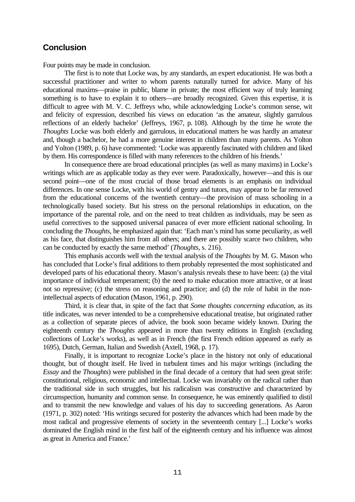## **Conclusion**

Four points may be made in conclusion.

The first is to note that Locke was, by any standards, an expert educationist. He was both a successful practitioner and writer to whom parents naturally turned for advice. Many of his educational maxims—praise in public, blame in private; the most efficient way of truly learning something is to have to explain it to others—are broadly recognized. Given this expertise, it is difficult to agree with M. V. C. Jeffreys who, while acknowledging Locke's common sense, wit and felicity of expression, described his views on education 'as the amateur, slightly garrulous reflections of an elderly bachelor' (Jeffreys, 1967, p. 108). Although by the time he wrote the *Thoughts* Locke was both elderly and garrulous, in educational matters he was hardly an amateur and, though a bachelor, he had a more genuine interest in children than many parents. As Yolton and Yolton (1989, p. 6) have commented: 'Locke was apparently fascinated with children and liked by them. His correspondence is filled with many references to the children of his friends.'

In consequence there are broad educational principles (as well as many maxims) in Locke's writings which are as applicable today as they ever were. Paradoxically, however—and this is our second point—one of the most crucial of those broad elements is an emphasis on individual differences. In one sense Locke, with his world of gentry and tutors, may appear to be far removed from the educational concerns of the twentieth century—the provision of mass schooling in a technologically based society. But his stress on the personal relationships in education, on the importance of the parental role, and on the need to treat children as individuals, may be seen as useful correctives to the supposed universal panacea of ever more efficient national schooling. In concluding the *Thoughts*, he emphasized again that: 'Each man's mind has some peculiarity, as well as his face, that distinguishes him from all others; and there are possibly scarce two children, who can be conducted by exactly the same method' (*Thoughts*, s. 216).

This emphasis accords well with the textual analysis of the *Thoughts* by M. G. Mason who has concluded that Locke's final additions to them probably represented the most sophisticated and developed parts of his educational theory. Mason's analysis reveals these to have been: (a) the vital importance of individual temperament; (b) the need to make education more attractive, or at least not so repressive; (c) the stress on reasoning and practice; and (d) the role of habit in the nonintellectual aspects of education (Mason, 1961, p. 290).

Third, it is clear that, in spite of the fact that *Some thoughts concerning education*, as its title indicates, was never intended to be a comprehensive educational treatise, but originated rather as a collection of separate pieces of advice, the book soon became widely known. During the eighteenth century the *Thoughts* appeared in more than twenty editions in English (excluding collections of Locke's works), as well as in French (the first French edition appeared as early as 1695), Dutch, German, Italian and Swedish (Axtell, 1968, p. 17).

Finally, it is important to recognize Locke's place in the history not only of educational thought, but of thought itself. He lived in turbulent times and his major writings (including the *Essay* and the *Thoughts*) were published in the final decade of a century that had seen great strife: constitutional, religious, economic and intellectual. Locke was invariably on the radical rather than the traditional side in such struggles, but his radicalism was constructive and characterized by circumspection, humanity and common sense. In consequence, he was eminently qualified to distil and to transmit the new knowledge and values of his day to succeeding generations. As Aaron (1971, p. 302) noted: 'His writings secured for posterity the advances which had been made by the most radical and progressive elements of society in the seventeenth century [...] Locke's works dominated the English mind in the first half of the eighteenth century and his influence was almost as great in America and France.'